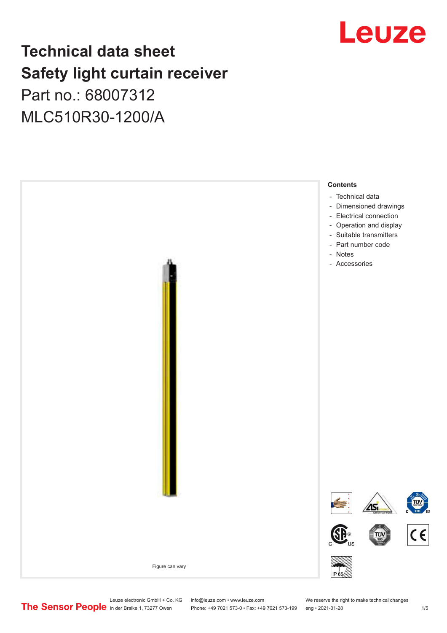# Leuze

## **Technical data sheet Safety light curtain receiver** Part no.: 68007312

MLC510R30-1200/A



Leuze electronic GmbH + Co. KG info@leuze.com • www.leuze.com We reserve the right to make technical changes<br>
The Sensor People in der Braike 1, 73277 Owen Phone: +49 7021 573-0 • Fax: +49 7021 573-199 eng • 2021-01-28

Phone: +49 7021 573-0 • Fax: +49 7021 573-199 eng • 2021-01-28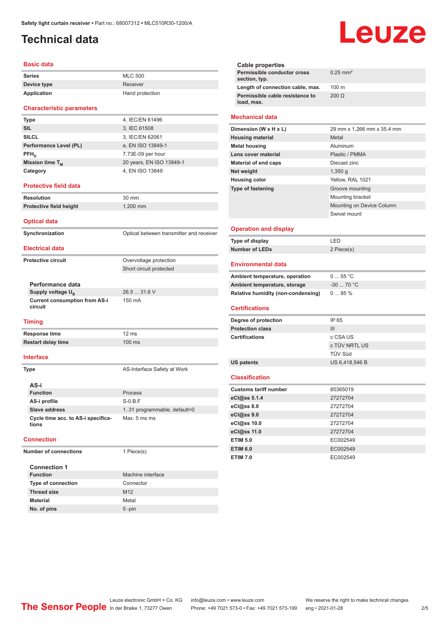## <span id="page-1-0"></span>**Technical data**

#### **Basic data**

| Series      | <b>MLC 500</b>  |
|-------------|-----------------|
| Device type | Receiver        |
| Application | Hand protection |

#### **Characteristic parameters**

| <b>Type</b>                 | 4, IEC/EN 61496          |
|-----------------------------|--------------------------|
| <b>SIL</b>                  | 3, IEC 61508             |
| <b>SILCL</b>                | 3, IEC/EN 62061          |
| Performance Level (PL)      | e, EN ISO 13849-1        |
| $PFH_{n}$                   | 7.73E-09 per hour        |
| Mission time T <sub>M</sub> | 20 years, EN ISO 13849-1 |
| Category                    | 4, EN ISO 13849          |

#### **Protective field data**

**Resolution** 30 mm **Protective field height** 1,200 mm

#### **Optical data**

**Synchronization Synchronization** Optical between transmitter and receiver **Electrical data**

Short circuit protected

26.5 ... 31.6 V

150 mA

#### **Protective circuit COVER COVER COVER COVER COVER COVER COVER COVER COVER COVER COVER COVER COVER COVER COVER**

**Performance data Supply voltage U<sub>B</sub> Current consumption from AS-i circuit**

#### **Timing**

**Response time** 12 ms **Restart delay time** 100 ms

#### **Interface**

**Type AS-Interface Safety at Work AS-i Function** Process **AS-i profile** S-0.B.F **Slave address** 1..31 programmable, default=0 **Cycle time acc. to AS-i specifications** Max. 5 ms ms

#### **Connection**

**Number of connections** 1 Piece(s)

| <b>Connection 1</b>       |                   |
|---------------------------|-------------------|
| <b>Function</b>           | Machine interface |
| <b>Type of connection</b> | Connector         |
| <b>Thread size</b>        | M <sub>12</sub>   |
| <b>Material</b>           | Metal             |
| No. of pins               | $5 - pin$         |

# Leuze

|                        | Cable properties                              |                            |
|------------------------|-----------------------------------------------|----------------------------|
|                        | Permissible conductor cross<br>section, typ.  | $0.25$ mm <sup>2</sup>     |
|                        | Length of connection cable, max.              | $100 \text{ m}$            |
|                        | Permissible cable resistance to<br>load, max. | $200 \Omega$               |
| <b>Mechanical data</b> |                                               |                            |
|                        | Dimension (W x H x L)                         | 29 mm x 1,266 mm x 35.4 mm |

| <b>Housing material</b>     | Metal                     |
|-----------------------------|---------------------------|
| <b>Metal housing</b>        | Aluminum                  |
| Lens cover material         | Plastic / PMMA            |
| <b>Material of end caps</b> | Diecast zinc              |
| Net weight                  | $1,350$ q                 |
| <b>Housing color</b>        | Yellow, RAL 1021          |
| <b>Type of fastening</b>    | Groove mounting           |
|                             | Mounting bracket          |
|                             | Mounting on Device Column |
|                             | Swivel mount              |
|                             |                           |

#### **Operation and display**

| Type of display | I FD.      |
|-----------------|------------|
| Number of LEDs  | 2 Piece(s) |

#### **Environmental data**

| Ambient temperature, operation     | 055 °C     |
|------------------------------------|------------|
| Ambient temperature, storage       | $-3070 °C$ |
| Relative humidity (non-condensing) | $095\%$    |

### **Certifications**

| Degree of protection    | IP 65          |
|-------------------------|----------------|
| <b>Protection class</b> | Ш              |
| <b>Certifications</b>   | c CSA US       |
|                         | c TÜV NRTL US  |
|                         | TÜV Süd        |
| <b>US patents</b>       | US 6,418,546 B |

#### **Classification**

| <b>Customs tariff number</b> | 85365019 |
|------------------------------|----------|
| eCl@ss 5.1.4                 | 27272704 |
| eCl@ss 8.0                   | 27272704 |
| eCl@ss 9.0                   | 27272704 |
| eCl@ss 10.0                  | 27272704 |
| eCl@ss 11.0                  | 27272704 |
| <b>ETIM 5.0</b>              | EC002549 |
| <b>ETIM 6.0</b>              | EC002549 |
| <b>ETIM 7.0</b>              | EC002549 |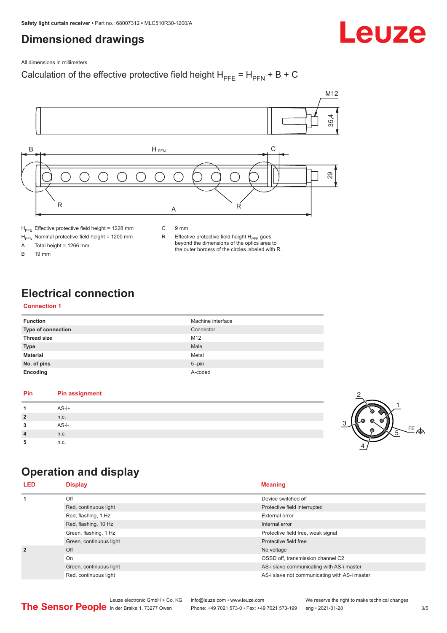## <span id="page-2-0"></span>**Dimensioned drawings**

Leuze

All dimensions in millimeters

## Calculation of the effective protective field height  $H_{PFE} = H_{PFN} + B + C$



 $H<sub>PE</sub>$  Effective protective field height = 1228 mm

 $H_{\text{PFN}}$  Nominal protective field height = 1200 mm<br>A Total height = 1266 mm

Total height =  $1266$  mm

B 19 mm

R Effective protective field height  $H_{PFE}$  goes beyond the dimensions of the optics area to the outer borders of the circles labeled with R.

## **Electrical connection**

## **Connection 1**

| <b>Function</b>           | Machine interface |
|---------------------------|-------------------|
| <b>Type of connection</b> | Connector         |
| <b>Thread size</b>        | M <sub>12</sub>   |
| <b>Type</b>               | Male              |
| <b>Material</b>           | Metal             |
| No. of pins               | $5$ -pin          |
| Encoding                  | A-coded           |

## **Pin Pin assignment 1** AS-i+ **2** n.c. **3** AS-i-**4** n.c. **5** n.c.



## **Operation and display**

| <b>LED</b>     | <b>Display</b>          | <b>Meaning</b>                                |
|----------------|-------------------------|-----------------------------------------------|
| 1              | Off                     | Device switched off                           |
|                | Red, continuous light   | Protective field interrupted                  |
|                | Red, flashing, 1 Hz     | External error                                |
|                | Red, flashing, 10 Hz    | Internal error                                |
|                | Green, flashing, 1 Hz   | Protective field free, weak signal            |
|                | Green, continuous light | Protective field free                         |
| $\overline{2}$ | Off                     | No voltage                                    |
|                | On                      | OSSD off, transmission channel C2             |
|                | Green, continuous light | AS-i slave communicating with AS-i master     |
|                | Red, continuous light   | AS-i slave not communicating with AS-i master |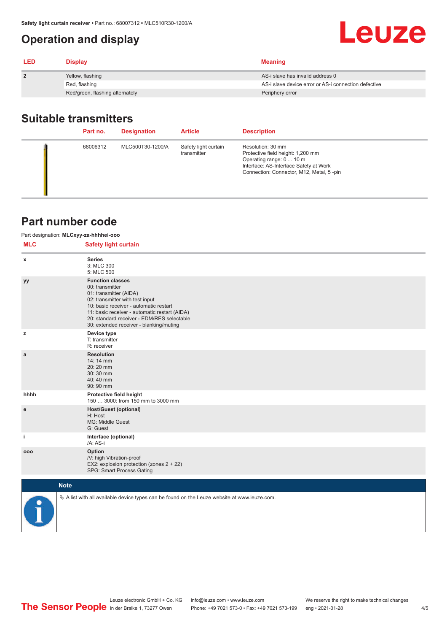## <span id="page-3-0"></span>**Operation and display**

| <b>LED</b>   | <b>Display</b>                  | <b>Meaning</b>                                       |
|--------------|---------------------------------|------------------------------------------------------|
| $\mathbf{2}$ | Yellow, flashing                | AS-i slave has invalid address 0                     |
|              | Red, flashing                   | AS-i slave device error or AS-i connection defective |
|              | Red/green, flashing alternately | Periphery error                                      |

## **Suitable transmitters**

| Part no. | <b>Designation</b> | <b>Article</b>                      | <b>Description</b>                                                                                                                                                       |
|----------|--------------------|-------------------------------------|--------------------------------------------------------------------------------------------------------------------------------------------------------------------------|
| 68006312 | MLC500T30-1200/A   | Safety light curtain<br>transmitter | Resolution: 30 mm<br>Protective field height: 1,200 mm<br>Operating range: 0  10 m<br>Interface: AS-Interface Safety at Work<br>Connection: Connector, M12, Metal, 5-pin |

## **Part number code**

|            | Part designation: MLCxyy-za-hhhhei-ooo                                                                                                                                                                                                                                                      |
|------------|---------------------------------------------------------------------------------------------------------------------------------------------------------------------------------------------------------------------------------------------------------------------------------------------|
| <b>MLC</b> | <b>Safety light curtain</b>                                                                                                                                                                                                                                                                 |
| x          | <b>Series</b><br>3: MLC 300<br>5: MLC 500                                                                                                                                                                                                                                                   |
| уу         | <b>Function classes</b><br>00: transmitter<br>01: transmitter (AIDA)<br>02: transmitter with test input<br>10: basic receiver - automatic restart<br>11: basic receiver - automatic restart (AIDA)<br>20: standard receiver - EDM/RES selectable<br>30: extended receiver - blanking/muting |
| z          | Device type<br>T: transmitter<br>R: receiver                                                                                                                                                                                                                                                |
| a          | <b>Resolution</b><br>14:14 mm<br>20:20 mm<br>30:30 mm<br>40:40 mm<br>90: 90 mm                                                                                                                                                                                                              |
| hhhh       | Protective field height<br>150  3000: from 150 mm to 3000 mm                                                                                                                                                                                                                                |
| ${\bf e}$  | <b>Host/Guest (optional)</b><br>H: Host<br>MG: Middle Guest<br>G: Guest                                                                                                                                                                                                                     |
| j.         | Interface (optional)<br>/A: AS-i                                                                                                                                                                                                                                                            |
| 000        | Option<br>/V: high Vibration-proof<br>EX2: explosion protection (zones 2 + 22)<br>SPG: Smart Process Gating                                                                                                                                                                                 |
|            | <b>Note</b>                                                                                                                                                                                                                                                                                 |
|            | $\&$ A list with all available device types can be found on the Leuze website at www.leuze.com.                                                                                                                                                                                             |

Leuze